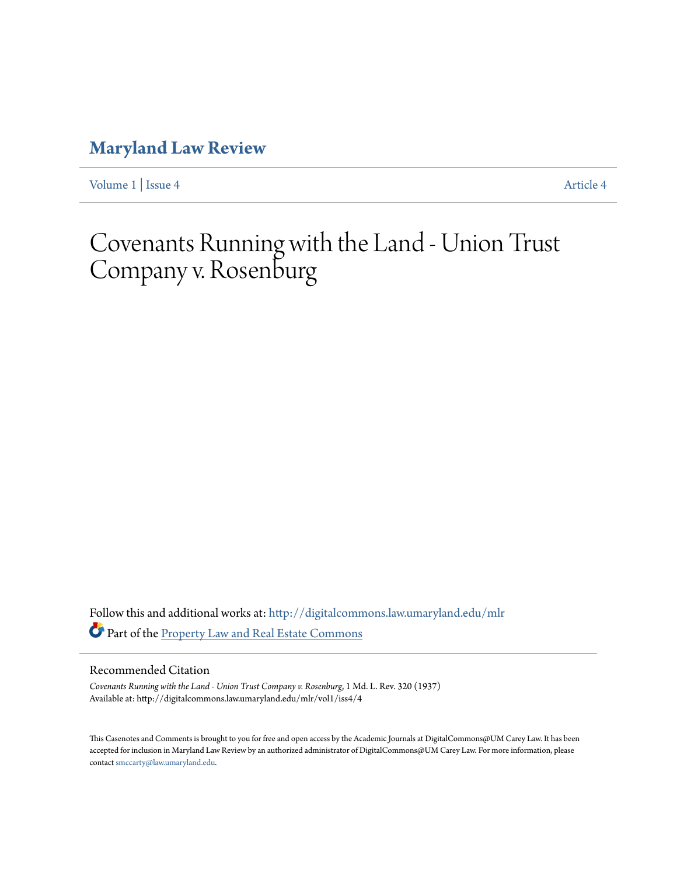## **[Maryland Law Review](http://digitalcommons.law.umaryland.edu/mlr?utm_source=digitalcommons.law.umaryland.edu%2Fmlr%2Fvol1%2Fiss4%2F4&utm_medium=PDF&utm_campaign=PDFCoverPages)**

[Volume 1](http://digitalcommons.law.umaryland.edu/mlr/vol1?utm_source=digitalcommons.law.umaryland.edu%2Fmlr%2Fvol1%2Fiss4%2F4&utm_medium=PDF&utm_campaign=PDFCoverPages) | [Issue 4](http://digitalcommons.law.umaryland.edu/mlr/vol1/iss4?utm_source=digitalcommons.law.umaryland.edu%2Fmlr%2Fvol1%2Fiss4%2F4&utm_medium=PDF&utm_campaign=PDFCoverPages) [Article 4](http://digitalcommons.law.umaryland.edu/mlr/vol1/iss4/4?utm_source=digitalcommons.law.umaryland.edu%2Fmlr%2Fvol1%2Fiss4%2F4&utm_medium=PDF&utm_campaign=PDFCoverPages)

# Covenants Running with the Land - Union Trust Company v. Rosenburg

Follow this and additional works at: [http://digitalcommons.law.umaryland.edu/mlr](http://digitalcommons.law.umaryland.edu/mlr?utm_source=digitalcommons.law.umaryland.edu%2Fmlr%2Fvol1%2Fiss4%2F4&utm_medium=PDF&utm_campaign=PDFCoverPages) Part of the [Property Law and Real Estate Commons](http://network.bepress.com/hgg/discipline/897?utm_source=digitalcommons.law.umaryland.edu%2Fmlr%2Fvol1%2Fiss4%2F4&utm_medium=PDF&utm_campaign=PDFCoverPages)

#### Recommended Citation

*Covenants Running with the Land - Union Trust Company v. Rosenburg*, 1 Md. L. Rev. 320 (1937) Available at: http://digitalcommons.law.umaryland.edu/mlr/vol1/iss4/4

This Casenotes and Comments is brought to you for free and open access by the Academic Journals at DigitalCommons@UM Carey Law. It has been accepted for inclusion in Maryland Law Review by an authorized administrator of DigitalCommons@UM Carey Law. For more information, please contact [smccarty@law.umaryland.edu.](mailto:smccarty@law.umaryland.edu)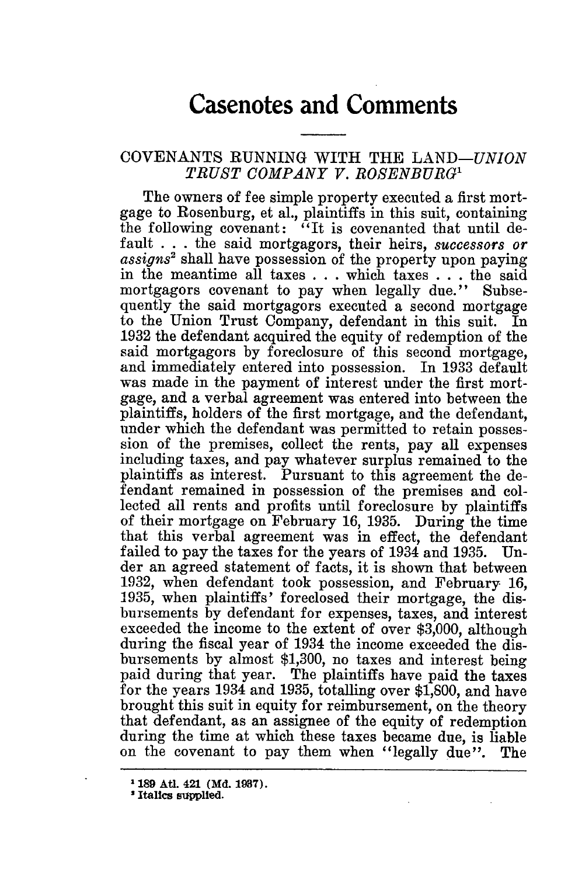### **Casenotes and Comments**

#### COVENANTS RUNNING WITH THE *LAND-UNION TRUST COMPANY V. ROSENBURG1*

The owners of fee simple property executed a first mortgage to Rosenburg, et al., plaintiffs in this suit, containing the following covenant: "It is covenanted that until default . . . the said mortgagors, their heirs, *successors or assigns2* shall have possession of the property upon paying in the meantime all taxes . **..** which taxes . . . the said mortgagors covenant to pay when legally due." Subsequently the said mortgagors executed a second mortgage to the Union Trust Company, defendant in this suit. In 1932 the defendant acquired the equity of redemption of the said mortgagors by foreclosure of this second mortgage, and immediately entered into possession. In 1933 default was made in the payment of interest under the first mortgage, and a verbal agreement was entered into between the plaintiffs, holders of the first mortgage, and the defendant, under which the defendant was permitted to retain possession of the premises, collect the rents, pay all expenses including taxes, and pay whatever surplus remained to the plaintiffs as interest. Pursuant to this agreement the defendant remained in possession of the premises and collected all rents and profits until foreclosure by plaintiffs of their mortgage on February 16, 1935. During the time that this verbal agreement was in effect, the defendant failed to pay the taxes for the years of 1934 and 1935. der an agreed statement of facts, it is shown that between 1932, when defendant took possession, and February 16, 1935, when plaintiffs' foreclosed their mortgage, the disbursements by defendant for expenses, taxes, and interest exceeded the income to the extent of over \$3,000, although during the fiscal year of 1934 the income exceeded the disbursements by almost \$1,300, no taxes and interest being paid during that year. The plaintiffs have paid the taxes for the years 1934 and 1935, totalling over \$1,800, and have brought this suit in equity for reimbursement, on the theory that defendant, as an assignee of the equity of redemption during the time at which these taxes became due, is liable on the covenant to pay them when "legally due". The

<sup>&</sup>lt;sup>1</sup> 189 Atl. 421 (Md. 1937).

<sup>&</sup>lt;sup>2</sup> Italics supplied.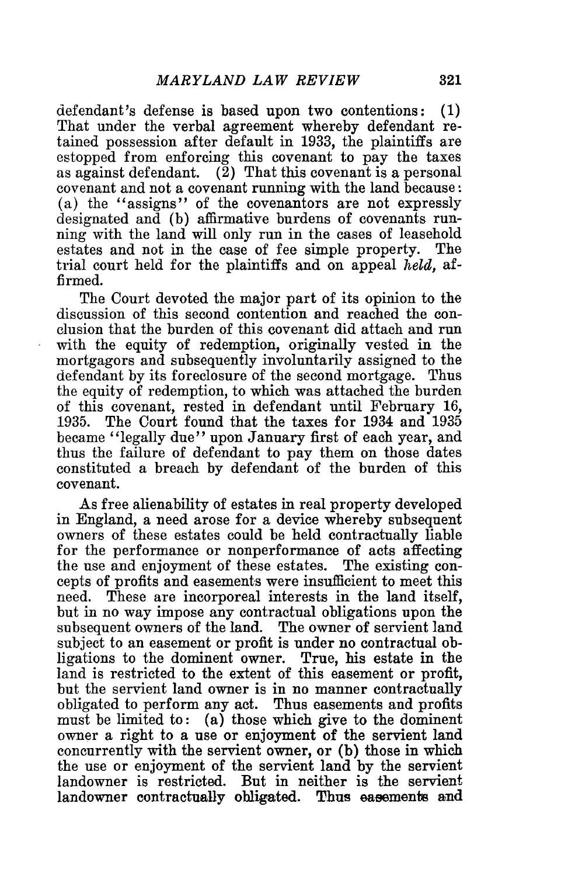defendant's defense is based upon two contentions: (1) That under the verbal agreement whereby defendant retained possession after default in 1933, the plaintiffs are estopped from enforcing this covenant to pay the taxes as against defendant. (2) That this covenant is a personal covenant and not a covenant running with the land because : (a) the "assigns" of the covenantors are not expressly designated and (b) affirmative burdens of covenants running with the land will only run in the cases of leasehold estates and not in the case of fee simple property. The trial court held for the plaintiffs and on appeal *held,* affirmed.

The Court devoted the major part of its opinion to the discussion of this second contention and reached the conclusion that the burden of this covenant did attach and run with the equity of redemption, originally vested in the mortgagors and subsequently involuntarily assigned to the defendant by its foreclosure of the second mortgage. Thus the equity of redemption, to which was attached the burden of this covenant, rested in defendant until February 16, 1935. The Court found that the taxes for 1934 and **1935** became "legally due" upon January first of each year, and thus the failure of defendant to pay them on those dates constituted a breach by defendant of the burden of this covenant.

As free alienability of estates in real property developed in England, a need arose for a device whereby subsequent owners of these estates could be held contractually liable for the performance or nonperformance of acts affecting the use and enjoyment of these estates. The existing concepts of profits and easements were insufficient to meet this need. These are incorporeal interests in the land itself, but in no way impose any contractual obligations upon the subsequent owners of the land. The owner of servient land subject to an easement or profit is under no contractual obligations to the dominent owner. True, his estate in the land is restricted to the extent of this easement or profit, but the servient land owner is in no manner contractually obligated to perform any act. Thus easements and profits must be limited to: (a) those which give to the dominent owner a right to a use or enjoyment of the servient land concurrently with the servient owner, or (b) those in which the use or enjoyment of the servient land by the servient landowner is restricted. But in neither is the servient landowner contractually obligated. Thus easements and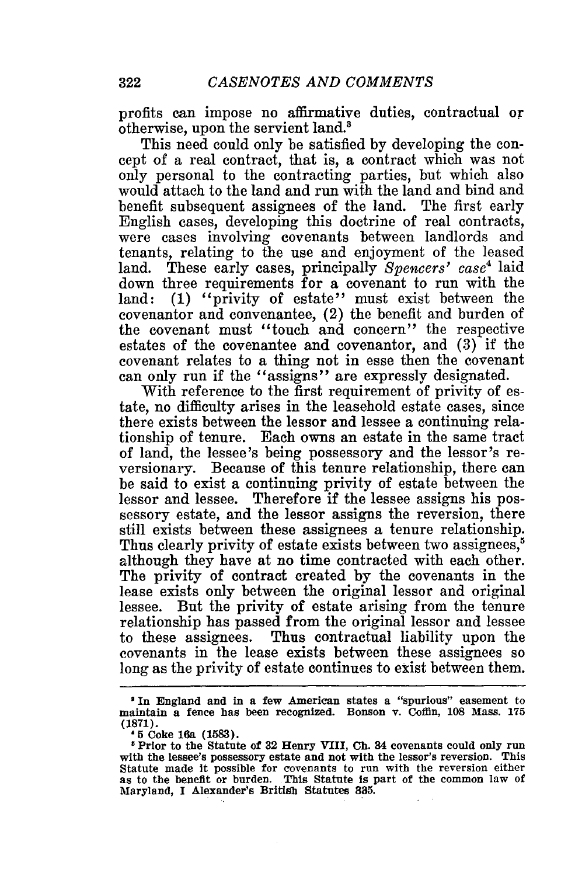profits can impose no affirmative duties, contractual or otherwise, upon the servient land.'

This need could only be satisfied by developing the concept of a real contract, that is, a contract which was not only personal to the contracting parties, but which also would attach to the land and run with the land and bind and benefit subsequent assignees of the land. The first early English cases, developing this doctrine of real contracts, were cases involving covenants between landlords and tenants, relating to the use and enjoyment of the leased land. These early cases, principally *Spencers'* case' laid down three requirements for a covenant to run with the land: (1) "privity of estate" must exist between the covenantor and convenantee, (2) the benefit and burden of the covenant must "touch and concern" the respective estates of the covenantee and covenantor, and (3) if the covenant relates to a thing not in esse then the covenant can only run if the "assigns" are expressly designated.

With reference to the first requirement of privity of estate, no difficulty arises in the leasehold estate cases, since there exists between the lessor and lessee a continuing relationship of tenure. Each owns an estate in the same tract of land, the lessee's being possessory and the lessor's reversionary. Because of this tenure relationship, there can be said to exist a continuing privity of estate between the lessor and lessee. Therefore if the lessee assigns his possessory estate, and the lessor assigns the reversion, there still exists between these assignees a tenure relationship. Thus clearly privity of estate exists between two assignees,<sup>5</sup> although they have at no time contracted with each other. The privity of contract created by the covenants in the lease exists only between the original lessor and original lessee. But the privity of estate arising from the tenure relationship has passed from the original lessor and lessee to these assignees. Thus contractual liability upon the covenants in the lease exists between these assignees so long as the privity of estate continues to exist between them.

**I** In England and in a few American states a "spurious" easement to maintain a fence has been recognized. Bonson v. Coffin, **108** Mass. 175 **(1871).**

**<sup>5</sup>** Coke 16a **(1583).**

Prior to the Statute of **32** Henry VIII, **Ch.** 34 covenants could only run with the lessee's possessory estate and not with the lessor's reversion. This Statute made it possible for covenants to run with the reversion either as to the benefit or burden. This Statute is part of the common law of Maryland, I Alexander's British Statutes **835.**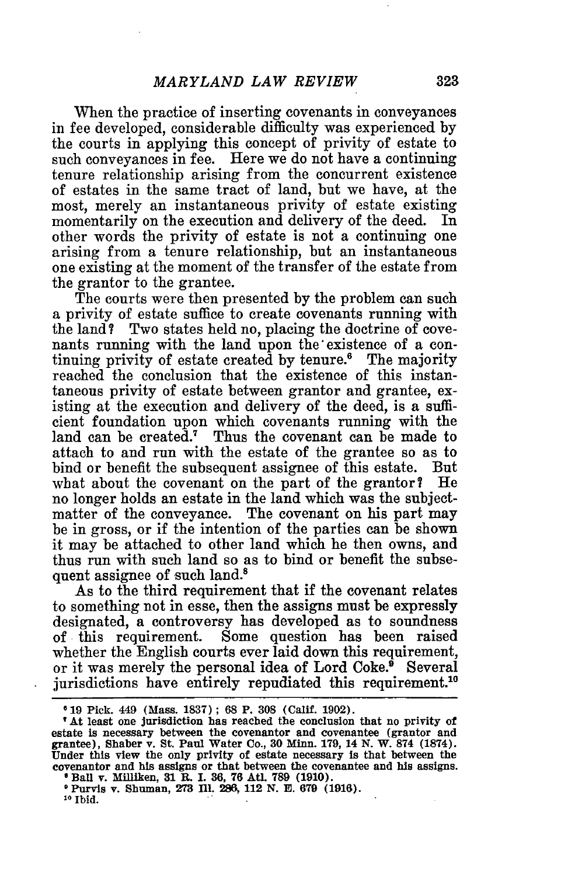When the practice of inserting covenants in conveyances in fee developed, considerable difficulty was experienced by the courts in applying this concept of privity of estate to such conveyances in fee. Here we do not have a continuing tenure relationship arising from the concurrent existence of estates in the same tract of land, but we have, at the most, merely an instantaneous privity of estate existing momentarily on the execution and delivery of the deed. In other words the privity of estate is not a continuing one arising from a tenure relationship, but an instantaneous one existing at the moment of the transfer of the estate from the grantor to the grantee.

The courts were then presented by the problem can such a privity of estate suffice to create covenants running with the land? Two states held no, placing the doctrine of covenants running with the land upon the'existence of a continuing privity of estate created by tenure.<sup>6</sup> The majority reached the conclusion that the existence of this instantaneous privity of estate between grantor and grantee, existing at the execution and delivery of the deed, is a sufficient foundation upon which covenants running with the land can be created." Thus the covenant can be made to attach to and run with the estate of the grantee so as to bind or benefit the subsequent assignee of this estate. But what about the covenant on the part of the grantor? He no longer holds an estate in the land which was the subjectmatter of the conveyance. The covenant on his part may be in gross, or if the intention of the parties can be shown it may be attached to other land which he then owns, and thus run with such land so as to bind or benefit the subsequent assignee of such land.<sup>8</sup>

As to the third requirement that if the covenant relates to something not in esse, then the assigns must be expressly designated, a controversy has developed as to soundness of this requirement. Some question has been raised whether the English courts ever laid down this requirement, or it was merely the personal idea of Lord Coke.<sup>9</sup> Several jurisdictions have entirely repudiated this requirement.<sup>10</sup>

**At** least **one** jurisdiction **has** reached the conclusion that no privity of estate is necessary between the covenantor **and** covenantee (grantor **and** grantee), Shaber v. **St. Paul** Water Co., **30 Minn. 179,** 14 **N.** W. **874 (1874). Under this** view the only privity of estate necessary is that between the **covenantor and** his **assigns** or that between the covenantee **and his** assigns. **Ball v. Milliken, 31 R. I. 36, 76 Atl. 789 (1910)** 

**Purvis v. Shuman, 273 IIl. 286, 112 N. E. 679 (1916).**

**10 Ibid.**

**<sup>619</sup>** Pick. 449 (Mass. **1837) ; 68 P. 308** (Calif. **1902).**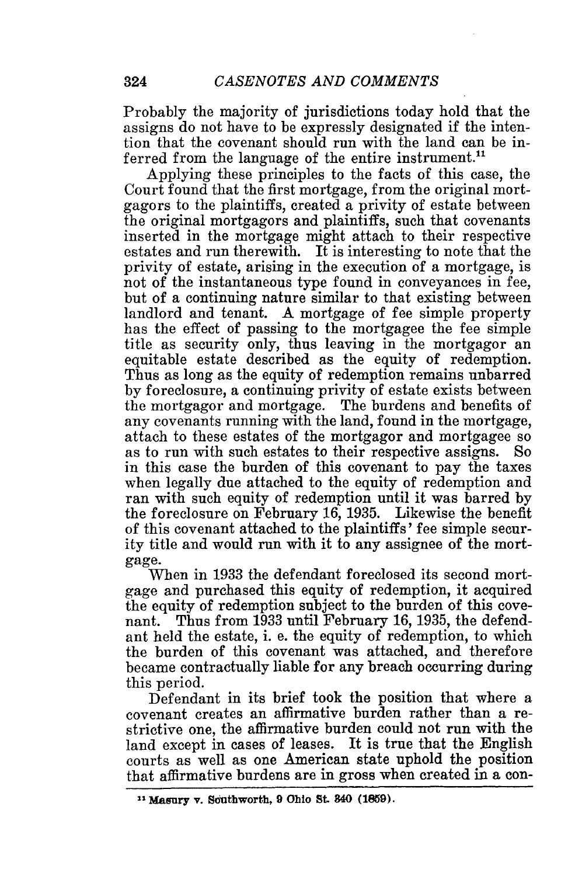Probably the majority of jurisdictions today hold that the assigns do not have to be expressly designated if the intention that the covenant should run with the land can be inferred from the language of the entire instrument.<sup>11</sup>

Applying these principles to the facts of this case, the Court found that the first mortgage, from the original mortgagors to the plaintiffs, created a privity of estate between the original mortgagors and plaintiffs, such that covenants inserted in the mortgage might attach to their respective estates and run therewith. It is interesting to note that the privity of estate, arising in the execution of a mortgage, is not of the instantaneous type found in conveyances in fee, but of a continuing nature similar to that existing between landlord and tenant. A mortgage of fee simple property has the effect of passing to the mortgagee the fee simple title as security only, thus leaving in the mortgagor an equitable estate described as the equity of redemption. Thus as long as the equity of redemption remains unbarred by foreclosure, a continuing privity of estate exists between the mortgagor and mortgage. The burdens and benefits of any covenants running with the land, found in the mortgage, attach to these estates of the mortgagor and mortgagee so as to run with such estates to their respective assigns. So in this case the burden of this covenant to pay the taxes when legally due attached to the equity of redemption and ran with such equity of redemption until it was barred by the foreclosure on February 16, 1935. Likewise the benefit of this covenant attached to the plaintiffs' fee simple security title and would run with it to any assignee of the mortgage.

When in 1933 the defendant foreclosed its second mortgage and purchased this equity of redemption, it acquired the equity of redemption subject to the burden of this covenant. Thus from 1933 until February 16, 1935, the defendant held the estate, i. e. the equity of redemption, to which the burden of this covenant was attached, and therefore became contractually liable for any breach occurring during this period.

Defendant in its brief took the position that where a covenant creates an affirmative burden rather than a restrictive one, the affirmative burden could not run with the land except in cases of leases. It is true that the English courts as well as one American state uphold the position that affirmative burdens are in gross when created in a con-

**<sup>11</sup> Masury v. Southworth, 9 Ohio** *St.* **840 (1859).**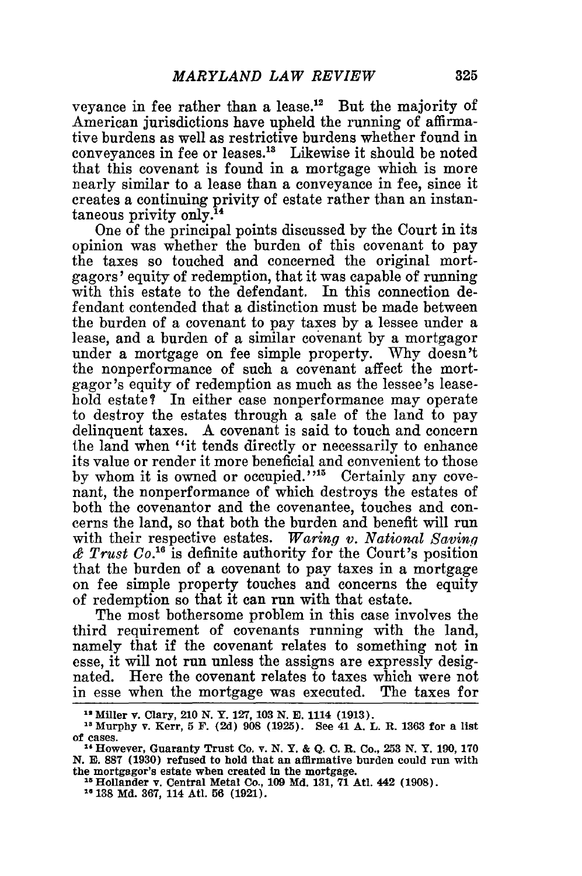veyance in fee rather than a lease.12 But the majority of American jurisdictions have upheld the running of affirmative burdens as well as restrictive burdens whether found in conveyances in fee or leases.'" Likewise it should be noted that this covenant is found in a mortgage which is more nearly similar to a lease than a conveyance in fee, since it creates a continuing privity of estate rather than an instantaneous privity only.'

One of the principal points discussed by the Court in its opinion was whether the burden of this covenant to pay the taxes so touched and concerned the original mortgagors' equity of redemption, that it was capable of running with this estate to the defendant. In this connection defendant contended that a distinction must be made between the burden of a covenant to pay taxes by a lessee under a lease, and a burden of a similar covenant by a mortgagor under a mortgage on fee simple property. Why doesn't the nonperformance of such a covenant affect the mortgagor's equity of redemption as much as the lessee's leasehold estate? In either case nonperformance may operate to destroy the estates through a sale of the land to pay delinquent taxes. A covenant is said to touch and concern the land when "it tends directly or necessarily to enhance its value or render it more beneficial and convenient to those by whom it is owned or occupied."<sup>15</sup> Certainly any covenant, the nonperformance of which destroys the estates of both the covenantor and the covenantee, touches and concerns the land, so that both the burden and benefit will run with their respective estates. *Waring v. National Saving & Trust Co.'6* is definite authority for the Court's position that the burden of a covenant to pay taxes in a mortgage on fee simple property touches and concerns the equity of redemption so that it can run with that estate.

The most bothersome problem in this case involves the third requirement of covenants running with the land, namely that if the covenant relates to something not in esse, it will not run unless the assigns are expressly designated. Here the covenant relates to taxes which were not in esse when the mortgage was executed. The taxes for

**<sup>&</sup>quot;2** Miller v. Clary, **210 N. Y. 127, 103 N. E.** 1114 **(1913).**

<sup>21</sup> Murphy v. Kerr, **5 F. (2d) 908 (1925). See 41 A. L.** R. **1363** for a list of cases.

**<sup>1,</sup>** However, Guaranty Trust **Co.** v. **N. Y. &** Q. **C. R.** Co., **253 N. Y. 190, 170 N. E. 887 (1930)** refused to hold that an affirmative burden could **run** with **the** mortgagor's estate when created **In** the mortgage.

**<sup>&</sup>quot;Hollander v. Central Metal Co., 109 Md. 131, 71 Atl. 442 (1908).**

**<sup>138</sup> Md. 367,** 114 Atl. **56 (1921).**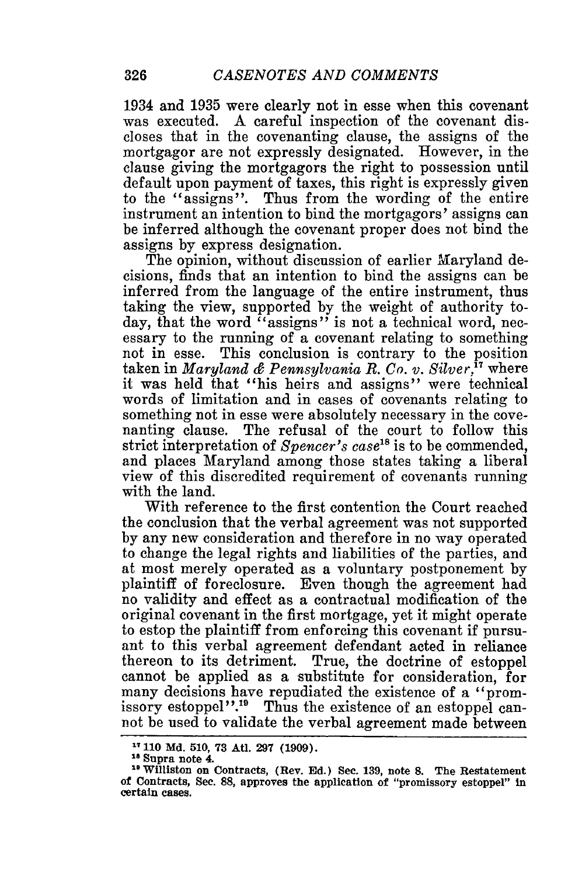1.934 and 1935 were clearly not in esse when this covenant was executed. A careful inspection of the covenant discloses that in the covenanting clause, the assigns of the mortgagor are not expressly designated. However, in the clause giving the mortgagors the right to possession until default upon payment of taxes, this right is expressly given to the "assigns". Thus from the wording of the entire instrument an intention to bind the mortgagors' assigns can be inferred although the covenant proper does not bind the assigns by express designation.

The opinion, without discussion of earlier Maryland decisions, finds that an intention to bind the assigns can be inferred from the language of the entire instrument, thus taking the view, supported by the weight of authority today, that the word "assigns" is not a technical word, necessary to the running of a covenant relating to something not in esse. This conclusion is contrary to the position taken in *Maryland & Pennsylvania R. Co. v. Silver,"* where it was held that "his heirs and assigns" were technical words of limitation and in cases of covenants relating to something not in esse were absolutely necessary in the covenanting clause. The refusal of the court to follow this strict interpretation of *Spencer's case"5* is to be commended, and places Maryland among those states taking a liberal view of this discredited requirement of covenants running with the land.

With reference to the first contention the Court reached the conclusion that the verbal agreement was not supported by any new consideration and therefore in no way operated to change the legal rights and liabilities of the parties, and at most merely operated as a voluntary postponement by plaintiff of foreclosure. Even though the agreement had no validity and effect as a contractual modification of the original covenant in the first mortgage, yet it might operate to estop the plaintiff from enforcing this covenant if pursuant to this verbal agreement defendant acted in reliance thereon to its detriment. True, the doctrine of estoppel cannot be applied as a substitute for consideration, for many decisions have repudiated the existence of a "promissory estoppel".<sup>19</sup> Thus the existence of an estoppel cannot be used to validate the verbal agreement made between

<sup>&</sup>lt;sup>17</sup> 110 Md. 510, 73 Atl. 297 (1909).

**<sup>18</sup>Supra note 4.**

**<sup>1</sup>**williston **on** Contracts, (Rev. **Ed.) Sec. 139,** note **S.** The Restatement of Contracts, **Sec. 88,** approves the application of "promissory estoppel" **In** certain cases.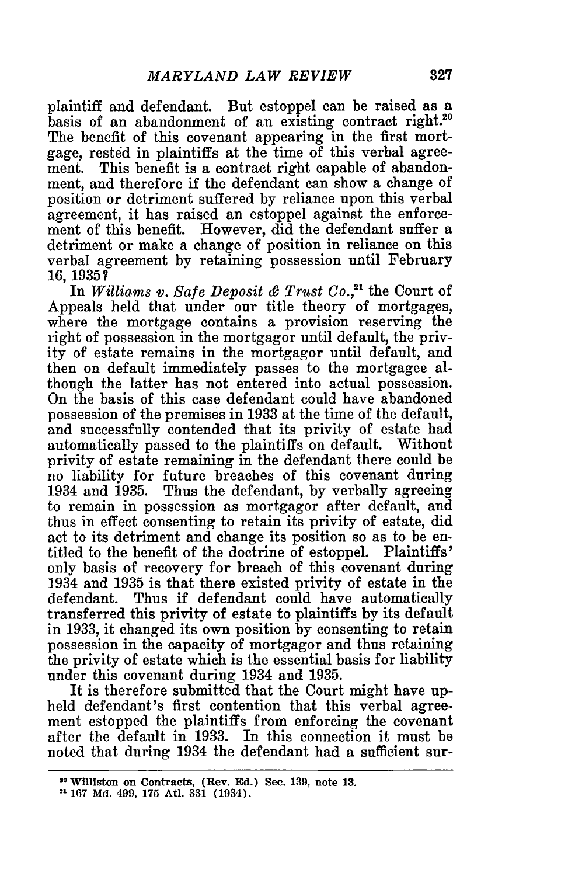plaintiff and defendant. But estoppel can be raised as a basis of an abandonment of an existing contract right.20 The benefit of this covenant appearing in the first mortgage, rested in plaintiffs at the time of this verbal agreement. This benefit is a contract right capable of abandonment, and therefore if the defendant can show a change of position or detriment suffered by reliance upon this verbal agreement, it has raised an estoppel against the enforcement of this benefit. However, did the defendant suffer a detriment or make a change of position in reliance on this verbal agreement by retaining possession until February 16, 19357

In *Williams v. Safe Deposit & Trust Co.,21* the Court of Appeals held that under our title theory of mortgages, where the mortgage contains a provision reserving the right of possession in the mortgagor until default, the privity of estate remains in the mortgagor until default, and then on default immediately passes to the mortgagee although the latter has not entered into actual possession. On the basis of this case defendant could have abandoned possession of the premises in 1933 at the time of the default, and successfully contended that its privity of estate had automatically passed to the plaintiffs on default. Without privity of estate remaining in the defendant there could be no liability for future breaches of this covenant during 1.934 and 1935. Thus the defendant, by verbally agreeing to remain in possession as mortgagor after default, and thus in effect consenting to retain its privity of estate, did act to its detriment and change its position so as to be entitled to the benefit of the doctrine of estoppel. Plaintiffs' only basis of recovery for breach of this covenant during 1934 and 1935 is that there existed privity of estate in the defendant. Thus if defendant could have automatically transferred this privity of estate to plaintiffs by its default in 1933, it changed its own position by consenting to retain possession in the capacity of mortgagor and thus retaining the privity of estate which is the essential basis for liability under this covenant during 1934 and 1935.

It is therefore submitted that the Court might have upheld defendant's first contention that this verbal agreement estopped the plaintiffs from enforcing the covenant after the default in 1933. In this connection it must be noted that during 1934 the defendant had a sufficient sur-

**<sup>10</sup>**Williston **on Contracts, (Rev. Ed.) Sec. 139, note 13.**

<sup>&</sup>lt;sup>21</sup> 167 Md. 499, 175 Atl. 331 (1934).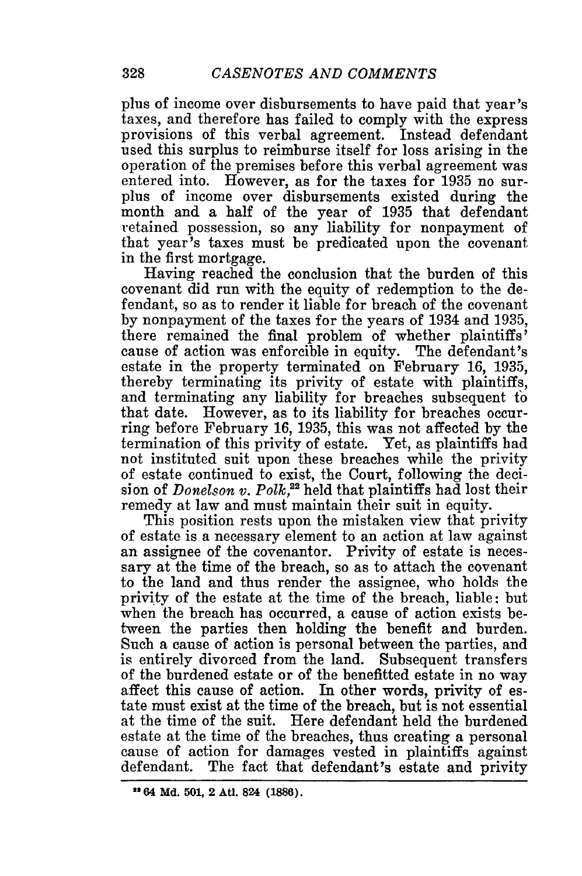plus of income over disbursements to have paid that year's taxes, and therefore has failed to comply with the express provisions of this verbal agreement. Instead defendant used this surplus to reimburse itself for loss arising in the operation of the premises before this verbal agreement was entered into. However, as for the taxes for 1935 no surplus of income over disbursements existed during the month and a half of the year of 1935 that defendant retained possession, so any liability for nonpayment of that year's taxes must be predicated upon the covenant in the first mortgage.

Having reached the conclusion that the burden of this covenant did run with the equity of redemption to the defendant, so as to render it liable for breach of the covenant by nonpayment of the taxes for the years of 1934 and 1935, there remained the final problem of whether plaintiffs' cause of action was enforcible in equity. The defendant's estate in the property terminated on February 16, 1935, thereby terminating its privity of estate with plaintiffs, and terminating any liability for breaches subsequent to that date. However, as to its liability for breaches occurring before February 16, 1935, this was not affected by the termination of this privity of estate. Yet, as plaintiffs had not instituted suit upon these breaches while the privity of estate continued to exist, the Court, following the decision of *Donelson v. Polk*,<sup>22</sup> held that plaintiffs had lost their remedy at law and must maintain their suit in equity.

This position rests upon the mistaken view that privity of estate is a necessary element to an action at law against an assignee of the covenantor. Privity of estate is necessary at the time of the breach, so as to attach the covenant to the land and thus render the assignee, who holds the privity of the estate at the time of the breach, liable; but when the breach has occurred, a cause of action exists between the parties then holding the benefit and burden. Such a cause of action is personal between the parties, and is entirely divorced from the land. Subsequent transfers of the burdened estate or of the benefitted estate in no way affect this cause of action. In other words, privity of estate must exist at the time of the breach, but is not essential at the time of the suit. Here defendant held the burdened estate at the time of the breaches, thus creating a personal cause of action for damages vested in plaintiffs against defendant. The fact that defendant's estate and privity

**<sup>&</sup>lt;sup>12</sup> 64 Md. 501, 2 Atl. 824 (1886).**